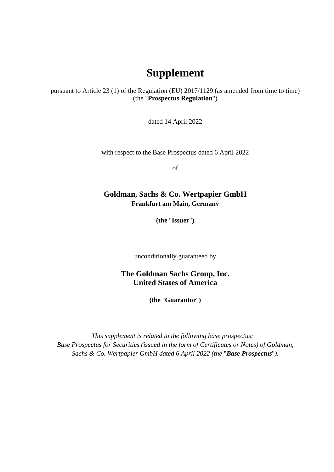## **Supplement**

pursuant to Article 23 (1) of the Regulation (EU) 2017/1129 (as amended from time to time) (the "**Prospectus Regulation**")

dated 14 April 2022

with respect to the Base Prospectus dated 6 April 2022

of

## **Goldman, Sachs & Co. Wertpapier GmbH Frankfurt am Main, Germany**

**(the** "**Issuer**"**)** 

unconditionally guaranteed by

**The Goldman Sachs Group, Inc. United States of America** 

**(the** "**Guarantor**"**)** 

*This supplement is related to the following base prospectus: Base Prospectus for Securities (issued in the form of Certificates or Notes) of Goldman, Sachs & Co. Wertpapier GmbH dated 6 April 2022 (the* "*Base Prospectus*"*).*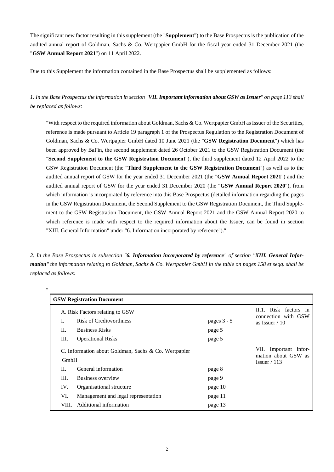The significant new factor resulting in this supplement (the "**Supplement**") to the Base Prospectus is the publication of the audited annual report of Goldman, Sachs & Co. Wertpapier GmbH for the fiscal year ended 31 December 2021 (the "**GSW Annual Report 2021**") on 11 April 2022.

Due to this Supplement the information contained in the Base Prospectus shall be supplemented as follows:

*1. In the Base Prospectus the information in section "VII. Important information about GSW as Issuer" on page 113 shall be replaced as follows:* 

"With respect to the required information about Goldman, Sachs & Co. Wertpapier GmbH as Issuer of the Securities, reference is made pursuant to Article 19 paragraph 1 of the Prospectus Regulation to the Registration Document of Goldman, Sachs & Co. Wertpapier GmbH dated 10 June 2021 (the "**GSW Registration Document**") which has been approved by BaFin, the second supplement dated 26 October 2021 to the GSW Registration Document (the "**Second Supplement to the GSW Registration Document**"), the third supplement dated 12 April 2022 to the GSW Registration Document (the "**Third Supplement to the GSW Registration Document**") as well as to the audited annual report of GSW for the year ended 31 December 2021 (the "**GSW Annual Report 2021**") and the audited annual report of GSW for the year ended 31 December 2020 (the "**GSW Annual Report 2020**"), from which information is incorporated by reference into this Base Prospectus (detailed information regarding the pages in the GSW Registration Document, the Second Supplement to the GSW Registration Document, the Third Supplement to the GSW Registration Document, the GSW Annual Report 2021 and the GSW Annual Report 2020 to which reference is made with respect to the required information about the Issuer, can be found in section "XIII. General Information" under "6. Information incorporated by reference")."

*2. In the Base Prospectus in subsection "6. Information incorporated by reference" of section "XIII. General Information" the information relating to Goldman, Sachs & Co. Wertpapier GmbH in the table on pages 158 et seqq. shall be replaced as follows:* 

.,

| <b>GSW Registration Document</b>                                    |                                     |             |                                                                 |  |  |
|---------------------------------------------------------------------|-------------------------------------|-------------|-----------------------------------------------------------------|--|--|
| A. Risk Factors relating to GSW                                     |                                     |             | II.1. Risk factors in<br>connection with GSW                    |  |  |
| I.                                                                  | Risk of Creditworthness             | pages 3 - 5 | as Issuer $/ 10$                                                |  |  |
| П.                                                                  | <b>Business Risks</b>               | page 5      |                                                                 |  |  |
| Ш.                                                                  | <b>Operational Risks</b>            | page 5      |                                                                 |  |  |
| C. Information about Goldman, Sachs & Co. Wertpapier<br><b>GmbH</b> |                                     |             | Important infor-<br>VII.<br>mation about GSW as<br>Issuer / 113 |  |  |
| П.                                                                  | General information                 | page 8      |                                                                 |  |  |
| III.                                                                | Business overview                   | page 9      |                                                                 |  |  |
| IV.                                                                 | Organisational structure            | page 10     |                                                                 |  |  |
| VI.                                                                 | Management and legal representation | page 11     |                                                                 |  |  |
| VIII.                                                               | Additional information              | page 13     |                                                                 |  |  |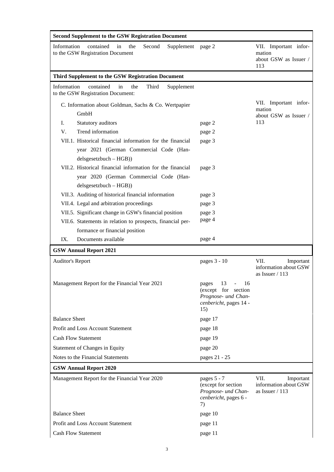| <b>Second Supplement to the GSW Registration Document</b>                                                                       |                                                                                                                   |                                                                 |  |  |  |
|---------------------------------------------------------------------------------------------------------------------------------|-------------------------------------------------------------------------------------------------------------------|-----------------------------------------------------------------|--|--|--|
| Information<br>contained<br>the<br>in<br>Second<br>Supplement page 2<br>to the GSW Registration Document                        |                                                                                                                   | VII. Important infor-<br>mation<br>about GSW as Issuer /<br>113 |  |  |  |
| Third Supplement to the GSW Registration Document                                                                               |                                                                                                                   |                                                                 |  |  |  |
| Information<br>contained<br>the<br>Third<br>in<br>Supplement<br>to the GSW Registration Document:                               |                                                                                                                   |                                                                 |  |  |  |
| C. Information about Goldman, Sachs & Co. Wertpapier<br>GmbH                                                                    |                                                                                                                   | VII. Important infor-<br>mation<br>about GSW as Issuer /        |  |  |  |
| Ι.<br>Statutory auditors                                                                                                        | page 2                                                                                                            | 113                                                             |  |  |  |
| Trend information<br>V.                                                                                                         | page 2                                                                                                            |                                                                 |  |  |  |
| VII.1. Historical financial information for the financial<br>year 2021 (German Commercial Code (Han-<br>$delsgesetzbuch - HGB)$ | page 3                                                                                                            |                                                                 |  |  |  |
| VII.2. Historical financial information for the financial<br>year 2020 (German Commercial Code (Han-<br>$delsgesetzbuch - HGB)$ | page 3                                                                                                            |                                                                 |  |  |  |
| VII.3. Auditing of historical financial information                                                                             | page 3                                                                                                            |                                                                 |  |  |  |
| VII.4. Legal and arbitration proceedings                                                                                        | page 3                                                                                                            |                                                                 |  |  |  |
| VII.5. Significant change in GSW's financial position                                                                           | page 3                                                                                                            |                                                                 |  |  |  |
| VII.6. Statements in relation to prospects, financial per-                                                                      | page 4                                                                                                            |                                                                 |  |  |  |
| formance or financial position                                                                                                  |                                                                                                                   |                                                                 |  |  |  |
| IX.<br>Documents available                                                                                                      | page 4                                                                                                            |                                                                 |  |  |  |
| <b>GSW Annual Report 2021</b>                                                                                                   |                                                                                                                   |                                                                 |  |  |  |
| <b>Auditor's Report</b>                                                                                                         | pages 3 - 10                                                                                                      | VII.<br>Important<br>information about GSW<br>as Issuer / 113   |  |  |  |
| Management Report for the Financial Year 2021                                                                                   | 13<br>$\frac{1}{2}$<br>16<br>pages<br>(except for section<br>Prognose- und Chan-<br>cenbericht, pages 14 -<br>15) |                                                                 |  |  |  |
| <b>Balance Sheet</b>                                                                                                            | page 17                                                                                                           |                                                                 |  |  |  |
| Profit and Loss Account Statement                                                                                               | page 18                                                                                                           |                                                                 |  |  |  |
| <b>Cash Flow Statement</b>                                                                                                      | page 19                                                                                                           |                                                                 |  |  |  |
| Statement of Changes in Equity                                                                                                  | page 20                                                                                                           |                                                                 |  |  |  |
| Notes to the Financial Statements                                                                                               | pages 21 - 25                                                                                                     |                                                                 |  |  |  |
| <b>GSW Annual Report 2020</b>                                                                                                   |                                                                                                                   |                                                                 |  |  |  |
| Management Report for the Financial Year 2020                                                                                   | pages 5 - 7<br>(except for section<br>Prognose- und Chan-<br>cenbericht, pages 6 -<br>7)                          | VII.<br>Important<br>information about GSW<br>as Issuer $/ 113$ |  |  |  |
| <b>Balance Sheet</b>                                                                                                            | page 10                                                                                                           |                                                                 |  |  |  |
| Profit and Loss Account Statement                                                                                               | page 11                                                                                                           |                                                                 |  |  |  |
| <b>Cash Flow Statement</b>                                                                                                      | page 11                                                                                                           |                                                                 |  |  |  |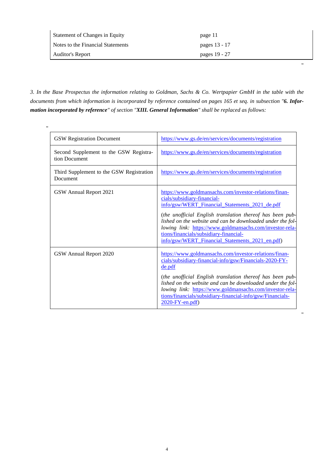| <b>Statement of Changes in Equity</b> | page 11       |
|---------------------------------------|---------------|
| Notes to the Financial Statements     | pages 13 - 17 |
| Auditor's Report                      | pages 19 - 27 |

"

"

*3. In the Base Prospectus the information relating to Goldman, Sachs & Co. Wertpapier GmbH in the table with the documents from which information is incorporated by reference contained on pages 165 et seq. in subsection "6. Information incorporated by reference" of section "XIII. General Information" shall be replaced as follows:* 

| " |                                                         |                                                                                                                                                                                                                                                                                                                                                                                                                             |
|---|---------------------------------------------------------|-----------------------------------------------------------------------------------------------------------------------------------------------------------------------------------------------------------------------------------------------------------------------------------------------------------------------------------------------------------------------------------------------------------------------------|
|   | <b>GSW Registration Document</b>                        | https://www.gs.de/en/services/documents/registration                                                                                                                                                                                                                                                                                                                                                                        |
|   | Second Supplement to the GSW Registra-<br>tion Document | https://www.gs.de/en/services/documents/registration                                                                                                                                                                                                                                                                                                                                                                        |
|   | Third Supplement to the GSW Registration<br>Document    | https://www.gs.de/en/services/documents/registration                                                                                                                                                                                                                                                                                                                                                                        |
|   | GSW Annual Report 2021                                  | https://www.goldmansachs.com/investor-relations/finan-<br>cials/subsidiary-financial-<br>info/gsw/WERT Financial Statements 2021 de.pdf<br>(the unofficial English translation thereof has been pub-<br>lished on the website and can be downloaded under the fol-<br>lowing link: https://www.goldmansachs.com/investor-rela-<br>tions/financials/subsidiary-financial-<br>info/gsw/WERT_Financial_Statements_2021_en.pdf) |
|   | GSW Annual Report 2020                                  | https://www.goldmansachs.com/investor-relations/finan-<br>cials/subsidiary-financial-info/gsw/Financials-2020-FY-<br>de.pdf<br>(the unofficial English translation thereof has been pub-<br>lished on the website and can be downloaded under the fol-<br>lowing link: https://www.goldmansachs.com/investor-rela-<br>tions/financials/subsidiary-financial-info/gsw/Financials-<br>$2020$ -FY-en.pdf)                      |